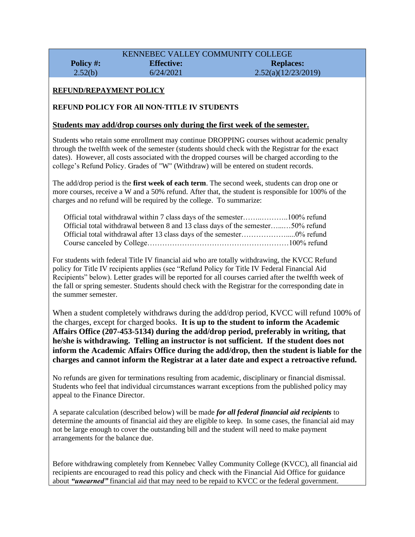#### KENNEBEC VALLEY COMMUNITY COLLEGE **Policy #:**  $2.52(b)$ **Effective:** 6/24/2021 **Replaces:** 2.52(a)(12/23/2019)

#### **REFUND/REPAYMENT POLICY**

#### **REFUND POLICY FOR All NON-TITLE IV STUDENTS**

#### **Students may add/drop courses only during the first week of the semester.**

Students who retain some enrollment may continue DROPPING courses without academic penalty through the twelfth week of the semester (students should check with the Registrar for the exact dates). However, all costs associated with the dropped courses will be charged according to the college's Refund Policy. Grades of "W" (Withdraw) will be entered on student records.

The add/drop period is the **first week of each term**. The second week, students can drop one or more courses, receive a W and a 50% refund. After that, the student is responsible for 100% of the charges and no refund will be required by the college. To summarize:

| Official total withdrawal between 8 and 13 class days of the semester50% refund |  |
|---------------------------------------------------------------------------------|--|
|                                                                                 |  |
|                                                                                 |  |

For students with federal Title IV financial aid who are totally withdrawing, the KVCC Refund policy for Title IV recipients applies (see "Refund Policy for Title IV Federal Financial Aid Recipients" below). Letter grades will be reported for all courses carried after the twelfth week of the fall or spring semester. Students should check with the Registrar for the corresponding date in the summer semester.

When a student completely withdraws during the add/drop period, KVCC will refund 100% of the charges, except for charged books. **It is up to the student to inform the Academic Affairs Office (207-453-5134) during the add/drop period, preferably in writing, that he/she is withdrawing. Telling an instructor is not sufficient. If the student does not inform the Academic Affairs Office during the add/drop, then the student is liable for the charges and cannot inform the Registrar at a later date and expect a retroactive refund.**

No refunds are given for terminations resulting from academic, disciplinary or financial dismissal. Students who feel that individual circumstances warrant exceptions from the published policy may appeal to the Finance Director.

A separate calculation (described below) will be made *for all federal financial aid recipients* to determine the amounts of financial aid they are eligible to keep. In some cases, the financial aid may not be large enough to cover the outstanding bill and the student will need to make payment arrangements for the balance due.

Before withdrawing completely from Kennebec Valley Community College (KVCC), all financial aid recipients are encouraged to read this policy and check with the Financial Aid Office for guidance about *"unearned"* financial aid that may need to be repaid to KVCC or the federal government.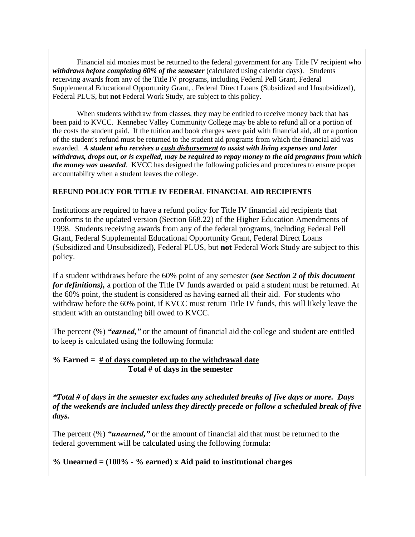Financial aid monies must be returned to the federal government for any Title IV recipient who *withdraws before completing 60% of the semester* (calculated using calendar days). Students receiving awards from any of the Title IV programs, including Federal Pell Grant, Federal Supplemental Educational Opportunity Grant, , Federal Direct Loans (Subsidized and Unsubsidized), Federal PLUS, but **not** Federal Work Study, are subject to this policy.

When students withdraw from classes, they may be entitled to receive money back that has been paid to KVCC. Kennebec Valley Community College may be able to refund all or a portion of the costs the student paid. If the tuition and book charges were paid with financial aid, all or a portion of the student's refund must be returned to the student aid programs from which the financial aid was awarded. *A student who receives a cash disbursement to assist with living expenses and later withdraws, drops out, or is expelled, may be required to repay money to the aid programs from which the money was awarded*. KVCC has designed the following policies and procedures to ensure proper accountability when a student leaves the college.

#### **REFUND POLICY FOR TITLE IV FEDERAL FINANCIAL AID RECIPIENTS**

Institutions are required to have a refund policy for Title IV financial aid recipients that conforms to the updated version (Section 668.22) of the Higher Education Amendments of 1998. Students receiving awards from any of the federal programs, including Federal Pell Grant, Federal Supplemental Educational Opportunity Grant, Federal Direct Loans (Subsidized and Unsubsidized), Federal PLUS, but **not** Federal Work Study are subject to this policy.

If a student withdraws before the 60% point of any semester *(see Section 2 of this document for definitions),* a portion of the Title IV funds awarded or paid a student must be returned. At the 60% point, the student is considered as having earned all their aid. For students who withdraw before the 60% point, if KVCC must return Title IV funds, this will likely leave the student with an outstanding bill owed to KVCC.

The percent (%) *"earned,"* or the amount of financial aid the college and student are entitled to keep is calculated using the following formula:

#### **% Earned = # of days completed up to the withdrawal date Total # of days in the semester**

*\*Total # of days in the semester excludes any scheduled breaks of five days or more. Days of the weekends are included unless they directly precede or follow a scheduled break of five days.*

The percent (%) *"unearned,"* or the amount of financial aid that must be returned to the federal government will be calculated using the following formula:

# **% Unearned = (100% - % earned) x Aid paid to institutional charges**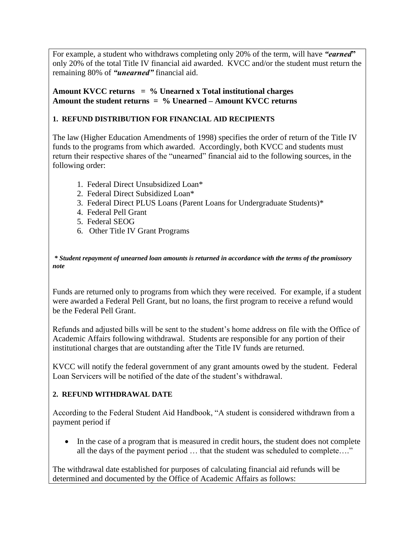For example, a student who withdraws completing only 20% of the term, will have *"earned***"** only 20% of the total Title IV financial aid awarded. KVCC and/or the student must return the remaining 80% of *"unearned"* financial aid.

#### **Amount KVCC returns = % Unearned x Total institutional charges Amount the student returns = % Unearned – Amount KVCC returns**

# **1. REFUND DISTRIBUTION FOR FINANCIAL AID RECIPIENTS**

The law (Higher Education Amendments of 1998) specifies the order of return of the Title IV funds to the programs from which awarded. Accordingly, both KVCC and students must return their respective shares of the "unearned" financial aid to the following sources, in the following order:

- 1. Federal Direct Unsubsidized Loan\*
- 2. Federal Direct Subsidized Loan\*
- 3. Federal Direct PLUS Loans (Parent Loans for Undergraduate Students)\*
- 4. Federal Pell Grant
- 5. Federal SEOG
- 6. Other Title IV Grant Programs

*\* Student repayment of unearned loan amounts is returned in accordance with the terms of the promissory note*

Funds are returned only to programs from which they were received. For example, if a student were awarded a Federal Pell Grant, but no loans, the first program to receive a refund would be the Federal Pell Grant.

Refunds and adjusted bills will be sent to the student's home address on file with the Office of Academic Affairs following withdrawal. Students are responsible for any portion of their institutional charges that are outstanding after the Title IV funds are returned.

KVCC will notify the federal government of any grant amounts owed by the student. Federal Loan Servicers will be notified of the date of the student's withdrawal.

# **2. REFUND WITHDRAWAL DATE**

According to the Federal Student Aid Handbook, "A student is considered withdrawn from a payment period if

• In the case of a program that is measured in credit hours, the student does not complete all the days of the payment period … that the student was scheduled to complete…."

The withdrawal date established for purposes of calculating financial aid refunds will be determined and documented by the Office of Academic Affairs as follows: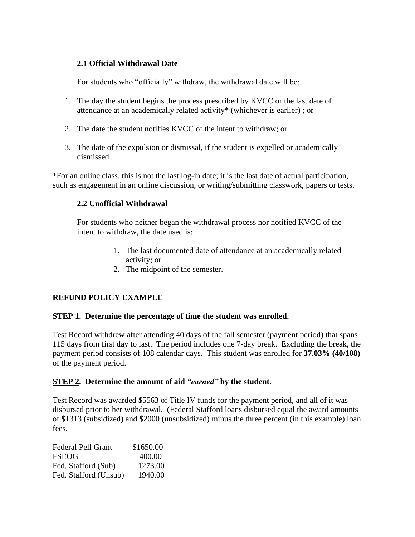# **2.1 Official Withdrawal Date**

For students who "officially" withdraw, the withdrawal date will be:

- 1. The day the student begins the process prescribed by KVCC or the last date of attendance at an academically related activity\* (whichever is earlier) ; or
- 2. The date the student notifies KVCC of the intent to withdraw; or
- 3. The date of the expulsion or dismissal, if the student is expelled or academically dismissed.

\*For an online class, this is not the last log-in date; it is the last date of actual participation, such as engagement in an online discussion, or writing/submitting classwork, papers or tests.

# **2.2 Unofficial Withdrawal**

For students who neither began the withdrawal process nor notified KVCC of the intent to withdraw, the date used is:

- 1. The last documented date of attendance at an academically related activity; or
- 2. The midpoint of the semester.

# **REFUND POLICY EXAMPLE**

#### **STEP 1. Determine the percentage of time the student was enrolled.**

Test Record withdrew after attending 40 days of the fall semester (payment period) that spans 115 days from first day to last. The period includes one 7-day break. Excluding the break, the payment period consists of 108 calendar days. This student was enrolled for **37.03% (40/108)** of the payment period.

#### **STEP 2. Determine the amount of aid** *"earned"* **by the student.**

Test Record was awarded \$5563 of Title IV funds for the payment period, and all of it was disbursed prior to her withdrawal. (Federal Stafford loans disbursed equal the award amounts of \$1313 (subsidized) and \$2000 (unsubsidized) minus the three percent (in this example) loan fees.

| <b>Federal Pell Grant</b> | \$1650.00 |
|---------------------------|-----------|
| <b>FSEOG</b>              | 400.00    |
| Fed. Stafford (Sub)       | 1273.00   |
| Fed. Stafford (Unsub)     | 1940.00   |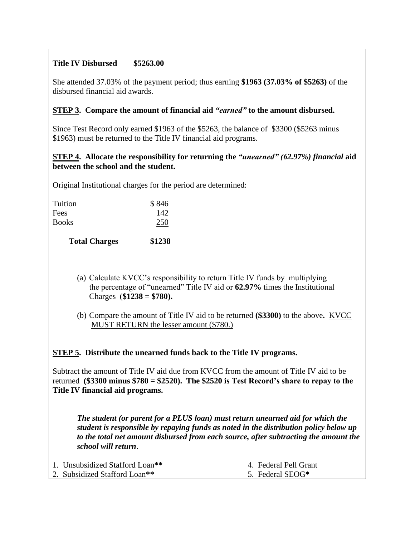# **Title IV Disbursed \$5263.00**

She attended 37.03% of the payment period; thus earning **\$1963 (37.03% of \$5263)** of the disbursed financial aid awards.

# **STEP 3. Compare the amount of financial aid** *"earned"* **to the amount disbursed.**

Since Test Record only earned \$1963 of the \$5263, the balance of \$3300 (\$5263 minus \$1963) must be returned to the Title IV financial aid programs.

## **STEP 4. Allocate the responsibility for returning the** *"unearned" (62.97%) financial* **aid between the school and the student.**

Original Institutional charges for the period are determined:

| <b>Total Charges</b> | \$1238 |
|----------------------|--------|
| <b>Books</b>         | 250    |
| Fees                 | 142    |
| Tuition              | \$846  |

(a) Calculate KVCC's responsibility to return Title IV funds by multiplying the percentage of "unearned" Title IV aid or **62.97%** times the Institutional Charges (**\$1238** = **\$780).**

(b) Compare the amount of Title IV aid to be returned **(\$3300)** to the above**.** KVCC MUST RETURN the lesser amount (\$780.)

**STEP 5. Distribute the unearned funds back to the Title IV programs.**

Subtract the amount of Title IV aid due from KVCC from the amount of Title IV aid to be returned **(\$3300 minus \$780 = \$2520). The \$2520 is Test Record's share to repay to the Title IV financial aid programs.** 

*The student (or parent for a PLUS loan) must return unearned aid for which the student is responsible by repaying funds as noted in the distribution policy below up to the total net amount disbursed from each source, after subtracting the amount the school will return*.

| 1. Unsubsidized Stafford Loan <sup>**</sup> | 4. Federal Pell Grant |
|---------------------------------------------|-----------------------|
| 2. Subsidized Stafford Loan <sup>**</sup>   | 5. Federal SEOG*      |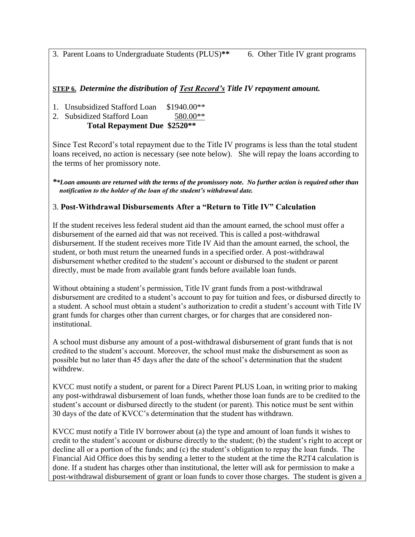3. Parent Loans to Undergraduate Students (PLUS)**\*\*** 6. Other Title IV grant programs

## **STEP 6.** *Determine the distribution of Test Record's Title IV repayment amount.*

1. Unsubsidized Stafford Loan \$1940.00\*\*

2. Subsidized Stafford Loan 580.00\*\*

**Total Repayment Due \$2520\*\***

Since Test Record's total repayment due to the Title IV programs is less than the total student loans received, no action is necessary (see note below). She will repay the loans according to the terms of her promissory note.

*\*\*Loan amounts are returned with the terms of the promissory note. No further action is required other than notification to the holder of the loan of the student's withdrawal date.*

## 3. **Post-Withdrawal Disbursements After a "Return to Title IV" Calculation**

If the student receives less federal student aid than the amount earned, the school must offer a disbursement of the earned aid that was not received. This is called a post-withdrawal disbursement. If the student receives more Title IV Aid than the amount earned, the school, the student, or both must return the unearned funds in a specified order. A post-withdrawal disbursement whether credited to the student's account or disbursed to the student or parent directly, must be made from available grant funds before available loan funds.

Without obtaining a student's permission, Title IV grant funds from a post-withdrawal disbursement are credited to a student's account to pay for tuition and fees, or disbursed directly to a student. A school must obtain a student's authorization to credit a student's account with Title IV grant funds for charges other than current charges, or for charges that are considered noninstitutional.

A school must disburse any amount of a post-withdrawal disbursement of grant funds that is not credited to the student's account. Moreover, the school must make the disbursement as soon as possible but no later than 45 days after the date of the school's determination that the student withdrew.

KVCC must notify a student, or parent for a Direct Parent PLUS Loan, in writing prior to making any post-withdrawal disbursement of loan funds, whether those loan funds are to be credited to the student's account or disbursed directly to the student (or parent). This notice must be sent within 30 days of the date of KVCC's determination that the student has withdrawn.

KVCC must notify a Title IV borrower about (a) the type and amount of loan funds it wishes to credit to the student's account or disburse directly to the student; (b) the student's right to accept or decline all or a portion of the funds; and (c) the student's obligation to repay the loan funds. The Financial Aid Office does this by sending a letter to the student at the time the R2T4 calculation is done. If a student has charges other than institutional, the letter will ask for permission to make a post-withdrawal disbursement of grant or loan funds to cover those charges. The student is given a